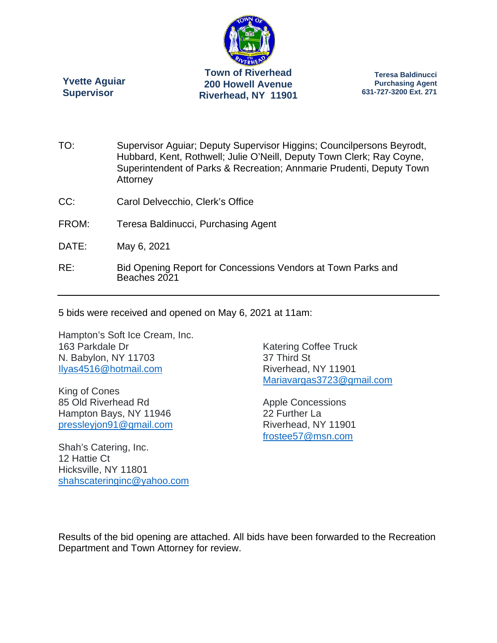

**Riverhead, NY 11901** 

**Yvette Aguiar Supervisor** 

**Teresa Baldinucci Purchasing Agent 631-727-3200 Ext. 271** 

- TO: Supervisor Aguiar; Deputy Supervisor Higgins; Councilpersons Beyrodt, Hubbard, Kent, Rothwell; Julie O'Neill, Deputy Town Clerk; Ray Coyne, Superintendent of Parks & Recreation; Annmarie Prudenti, Deputy Town **Attorney**
- CC: Carol Delvecchio, Clerk's Office
- FROM: Teresa Baldinucci, Purchasing Agent
- DATE: May 6, 2021
- RE: Bid Opening Report for Concessions Vendors at Town Parks and Beaches 2021

5 bids were received and opened on May 6, 2021 at 11am:

Hampton's Soft Ice Cream, Inc. 163 Parkdale Dr N. Babylon, NY 11703 Ilyas4516@hotmail.com

King of Cones 85 Old Riverhead Rd Hampton Bays, NY 11946 pressleyjon91@gmail.com

Shah's Catering, Inc. 12 Hattie Ct Hicksville, NY 11801 shahscateringinc@yahoo.com Katering Coffee Truck 37 Third St Riverhead, NY 11901 Mariavargas3723@gmail.com

Apple Concessions 22 Further La Riverhead, NY 11901 frostee57@msn.com

Results of the bid opening are attached. All bids have been forwarded to the Recreation Department and Town Attorney for review.